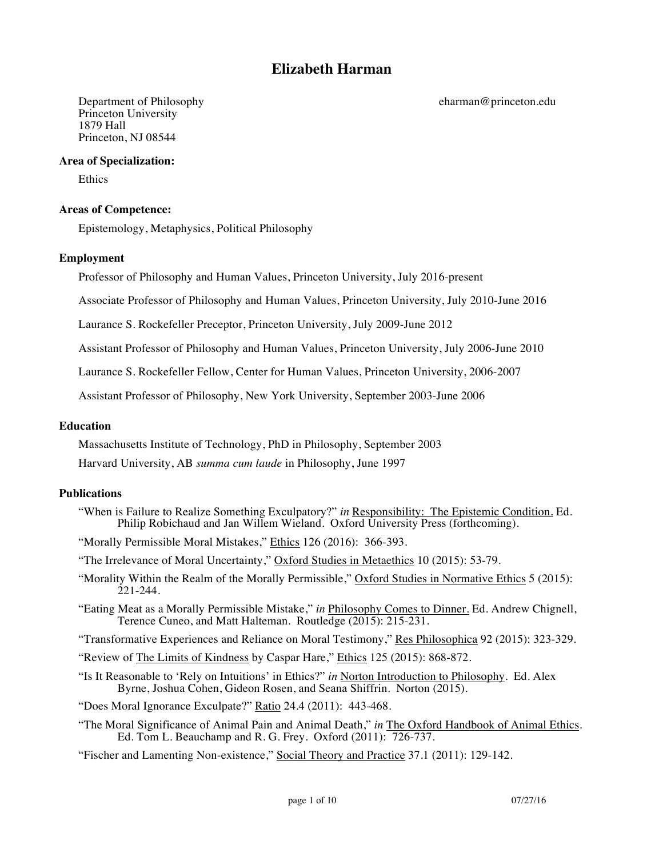# **Elizabeth Harman**

Princeton University 1879 Hall Princeton, NJ 08544

# **Area of Specialization:**

Ethics

# **Areas of Competence:**

Epistemology, Metaphysics, Political Philosophy

# **Employment**

Professor of Philosophy and Human Values, Princeton University, July 2016-present

Associate Professor of Philosophy and Human Values, Princeton University, July 2010-June 2016

Laurance S. Rockefeller Preceptor, Princeton University, July 2009-June 2012

Assistant Professor of Philosophy and Human Values, Princeton University, July 2006-June 2010

Laurance S. Rockefeller Fellow, Center for Human Values, Princeton University, 2006-2007

Assistant Professor of Philosophy, New York University, September 2003-June 2006

# **Education**

Massachusetts Institute of Technology, PhD in Philosophy, September 2003

Harvard University, AB *summa cum laude* in Philosophy, June 1997

# **Publications**

"When is Failure to Realize Something Exculpatory?" *in* Responsibility: The Epistemic Condition. Ed. Philip Robichaud and Jan Willem Wieland. Oxford University Press (forthcoming).

"Morally Permissible Moral Mistakes," Ethics 126 (2016): 366-393.

"The Irrelevance of Moral Uncertainty," Oxford Studies in Metaethics 10 (2015): 53-79.

- "Morality Within the Realm of the Morally Permissible," Oxford Studies in Normative Ethics 5 (2015): 221-244.
- "Eating Meat as a Morally Permissible Mistake," *in* Philosophy Comes to Dinner. Ed. Andrew Chignell, Terence Cuneo, and Matt Halteman. Routledge (2015): 215-231.

"Transformative Experiences and Reliance on Moral Testimony," Res Philosophica 92 (2015): 323-329.

"Review of The Limits of Kindness by Caspar Hare," Ethics 125 (2015): 868-872.

"Is It Reasonable to 'Rely on Intuitions' in Ethics?" *in* Norton Introduction to Philosophy. Ed. Alex Byrne, Joshua Cohen, Gideon Rosen, and Seana Shiffrin. Norton (2015).

"Does Moral Ignorance Exculpate?" Ratio 24.4 (2011): 443-468.

"The Moral Significance of Animal Pain and Animal Death," *in* The Oxford Handbook of Animal Ethics. Ed. Tom L. Beauchamp and R. G. Frey. Oxford (2011): 726-737.

"Fischer and Lamenting Non-existence," Social Theory and Practice 37.1 (2011): 129-142.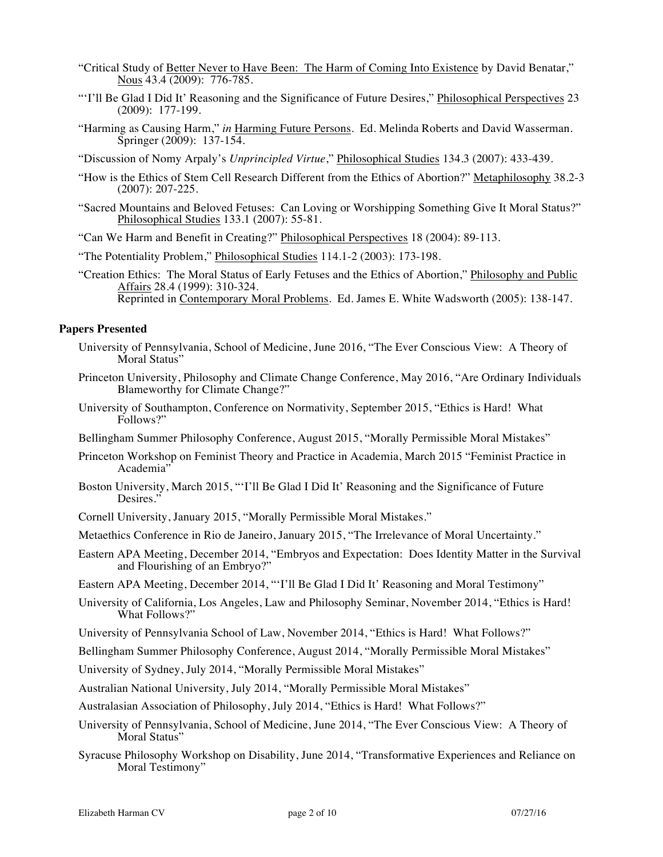- "Critical Study of Better Never to Have Been: The Harm of Coming Into Existence by David Benatar," Nous 43.4 (2009): 776-785.
- "'I'll Be Glad I Did It' Reasoning and the Significance of Future Desires," Philosophical Perspectives 23 (2009): 177-199.
- "Harming as Causing Harm," *in* Harming Future Persons. Ed. Melinda Roberts and David Wasserman. Springer (2009): 137-154.
- "Discussion of Nomy Arpaly's *Unprincipled Virtue*," Philosophical Studies 134.3 (2007): 433-439.
- "How is the Ethics of Stem Cell Research Different from the Ethics of Abortion?" Metaphilosophy 38.2-3 (2007): 207-225.
- "Sacred Mountains and Beloved Fetuses: Can Loving or Worshipping Something Give It Moral Status?" Philosophical Studies 133.1 (2007): 55-81.

"Can We Harm and Benefit in Creating?" Philosophical Perspectives 18 (2004): 89-113.

- "The Potentiality Problem," Philosophical Studies 114.1-2 (2003): 173-198.
- "Creation Ethics: The Moral Status of Early Fetuses and the Ethics of Abortion," Philosophy and Public Affairs 28.4 (1999): 310-324. Reprinted in Contemporary Moral Problems. Ed. James E. White Wadsworth (2005): 138-147.

#### **Papers Presented**

- University of Pennsylvania, School of Medicine, June 2016, "The Ever Conscious View: A Theory of Moral Status"
- Princeton University, Philosophy and Climate Change Conference, May 2016, "Are Ordinary Individuals Blameworthy for Climate Change?"
- University of Southampton, Conference on Normativity, September 2015, "Ethics is Hard! What Follows?"
- Bellingham Summer Philosophy Conference, August 2015, "Morally Permissible Moral Mistakes"
- Princeton Workshop on Feminist Theory and Practice in Academia, March 2015 "Feminist Practice in Academia"
- Boston University, March 2015, "'I'll Be Glad I Did It' Reasoning and the Significance of Future Desires."
- Cornell University, January 2015, "Morally Permissible Moral Mistakes."
- Metaethics Conference in Rio de Janeiro, January 2015, "The Irrelevance of Moral Uncertainty."
- Eastern APA Meeting, December 2014, "Embryos and Expectation: Does Identity Matter in the Survival and Flourishing of an Embryo?"
- Eastern APA Meeting, December 2014, "'I'll Be Glad I Did It' Reasoning and Moral Testimony"
- University of California, Los Angeles, Law and Philosophy Seminar, November 2014, "Ethics is Hard! What Follows?"
- University of Pennsylvania School of Law, November 2014, "Ethics is Hard! What Follows?"
- Bellingham Summer Philosophy Conference, August 2014, "Morally Permissible Moral Mistakes"
- University of Sydney, July 2014, "Morally Permissible Moral Mistakes"
- Australian National University, July 2014, "Morally Permissible Moral Mistakes"
- Australasian Association of Philosophy, July 2014, "Ethics is Hard! What Follows?"
- University of Pennsylvania, School of Medicine, June 2014, "The Ever Conscious View: A Theory of Moral Status"
- Syracuse Philosophy Workshop on Disability, June 2014, "Transformative Experiences and Reliance on Moral Testimony"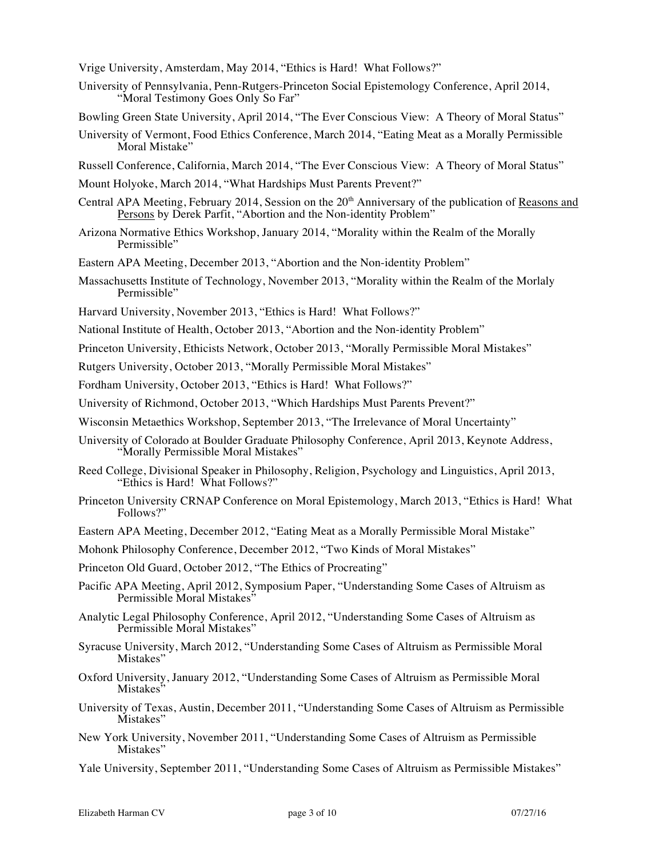Vrige University, Amsterdam, May 2014, "Ethics is Hard! What Follows?"

- University of Pennsylvania, Penn-Rutgers-Princeton Social Epistemology Conference, April 2014, "Moral Testimony Goes Only So Far"
- Bowling Green State University, April 2014, "The Ever Conscious View: A Theory of Moral Status"
- University of Vermont, Food Ethics Conference, March 2014, "Eating Meat as a Morally Permissible Moral Mistake"
- Russell Conference, California, March 2014, "The Ever Conscious View: A Theory of Moral Status"
- Mount Holyoke, March 2014, "What Hardships Must Parents Prevent?"
- Central APA Meeting, February 2014, Session on the 20<sup>th</sup> Anniversary of the publication of Reasons and Persons by Derek Parfit, "Abortion and the Non-identity Problem"
- Arizona Normative Ethics Workshop, January 2014, "Morality within the Realm of the Morally Permissible"
- Eastern APA Meeting, December 2013, "Abortion and the Non-identity Problem"
- Massachusetts Institute of Technology, November 2013, "Morality within the Realm of the Morlaly Permissible"
- Harvard University, November 2013, "Ethics is Hard! What Follows?"
- National Institute of Health, October 2013, "Abortion and the Non-identity Problem"
- Princeton University, Ethicists Network, October 2013, "Morally Permissible Moral Mistakes"
- Rutgers University, October 2013, "Morally Permissible Moral Mistakes"
- Fordham University, October 2013, "Ethics is Hard! What Follows?"
- University of Richmond, October 2013, "Which Hardships Must Parents Prevent?"
- Wisconsin Metaethics Workshop, September 2013, "The Irrelevance of Moral Uncertainty"
- University of Colorado at Boulder Graduate Philosophy Conference, April 2013, Keynote Address, "Morally Permissible Moral Mistakes"
- Reed College, Divisional Speaker in Philosophy, Religion, Psychology and Linguistics, April 2013, "Ethics is Hard! What Follows?"
- Princeton University CRNAP Conference on Moral Epistemology, March 2013, "Ethics is Hard! What Follows?"
- Eastern APA Meeting, December 2012, "Eating Meat as a Morally Permissible Moral Mistake"
- Mohonk Philosophy Conference, December 2012, "Two Kinds of Moral Mistakes"
- Princeton Old Guard, October 2012, "The Ethics of Procreating"
- Pacific APA Meeting, April 2012, Symposium Paper, "Understanding Some Cases of Altruism as Permissible Moral Mistakes"
- Analytic Legal Philosophy Conference, April 2012, "Understanding Some Cases of Altruism as Permissible Moral Mistakes"
- Syracuse University, March 2012, "Understanding Some Cases of Altruism as Permissible Moral Mistakes"
- Oxford University, January 2012, "Understanding Some Cases of Altruism as Permissible Moral Mistakes"
- University of Texas, Austin, December 2011, "Understanding Some Cases of Altruism as Permissible Mistakes"
- New York University, November 2011, "Understanding Some Cases of Altruism as Permissible Mistakes"

Yale University, September 2011, "Understanding Some Cases of Altruism as Permissible Mistakes"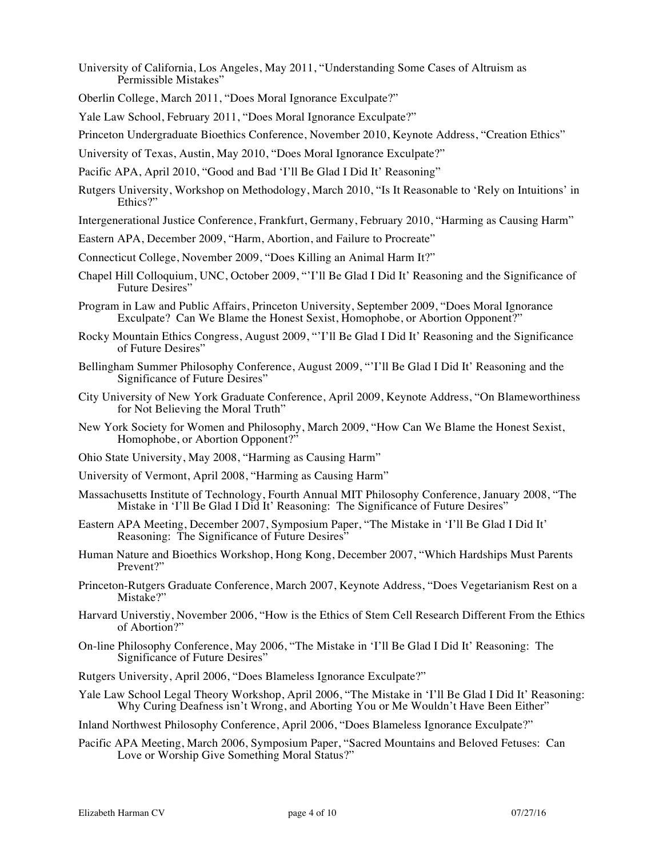- University of California, Los Angeles, May 2011, "Understanding Some Cases of Altruism as Permissible Mistakes"
- Oberlin College, March 2011, "Does Moral Ignorance Exculpate?"
- Yale Law School, February 2011, "Does Moral Ignorance Exculpate?"
- Princeton Undergraduate Bioethics Conference, November 2010, Keynote Address, "Creation Ethics"
- University of Texas, Austin, May 2010, "Does Moral Ignorance Exculpate?"
- Pacific APA, April 2010, "Good and Bad 'I'll Be Glad I Did It' Reasoning"
- Rutgers University, Workshop on Methodology, March 2010, "Is It Reasonable to 'Rely on Intuitions' in Ethics?"
- Intergenerational Justice Conference, Frankfurt, Germany, February 2010, "Harming as Causing Harm"
- Eastern APA, December 2009, "Harm, Abortion, and Failure to Procreate"
- Connecticut College, November 2009, "Does Killing an Animal Harm It?"
- Chapel Hill Colloquium, UNC, October 2009, "'I'll Be Glad I Did It' Reasoning and the Significance of Future Desires"
- Program in Law and Public Affairs, Princeton University, September 2009, "Does Moral Ignorance Exculpate? Can We Blame the Honest Sexist, Homophobe, or Abortion Opponent?"
- Rocky Mountain Ethics Congress, August 2009, "'I'll Be Glad I Did It' Reasoning and the Significance of Future Desires"
- Bellingham Summer Philosophy Conference, August 2009, "'I'll Be Glad I Did It' Reasoning and the Significance of Future Desires"
- City University of New York Graduate Conference, April 2009, Keynote Address, "On Blameworthiness for Not Believing the Moral Truth"
- New York Society for Women and Philosophy, March 2009, "How Can We Blame the Honest Sexist, Homophobe, or Abortion Opponent?"
- Ohio State University, May 2008, "Harming as Causing Harm"
- University of Vermont, April 2008, "Harming as Causing Harm"
- Massachusetts Institute of Technology, Fourth Annual MIT Philosophy Conference, January 2008, "The Mistake in 'I'll Be Glad I Did It' Reasoning: The Significance of Future Desires"
- Eastern APA Meeting, December 2007, Symposium Paper, "The Mistake in 'I'll Be Glad I Did It' Reasoning: The Significance of Future Desires"
- Human Nature and Bioethics Workshop, Hong Kong, December 2007, "Which Hardships Must Parents Prevent?"
- Princeton-Rutgers Graduate Conference, March 2007, Keynote Address, "Does Vegetarianism Rest on a Mistake?"
- Harvard Universtiy, November 2006, "How is the Ethics of Stem Cell Research Different From the Ethics of Abortion?"
- On-line Philosophy Conference, May 2006, "The Mistake in 'I'll Be Glad I Did It' Reasoning: The Significance of Future Desires"
- Rutgers University, April 2006, "Does Blameless Ignorance Exculpate?"
- Yale Law School Legal Theory Workshop, April 2006, "The Mistake in 'I'll Be Glad I Did It' Reasoning: Why Curing Deafness isn't Wrong, and Aborting You or Me Wouldn't Have Been Either"
- Inland Northwest Philosophy Conference, April 2006, "Does Blameless Ignorance Exculpate?"
- Pacific APA Meeting, March 2006, Symposium Paper, "Sacred Mountains and Beloved Fetuses: Can Love or Worship Give Something Moral Status?"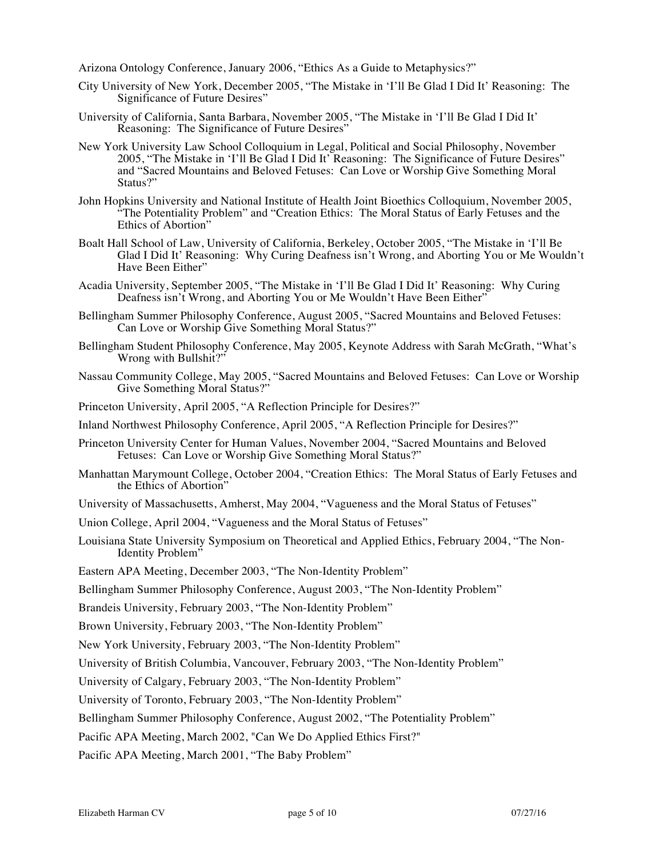Arizona Ontology Conference, January 2006, "Ethics As a Guide to Metaphysics?"

- City University of New York, December 2005, "The Mistake in 'I'll Be Glad I Did It' Reasoning: The Significance of Future Desires"
- University of California, Santa Barbara, November 2005, "The Mistake in 'I'll Be Glad I Did It' Reasoning: The Significance of Future Desires"
- New York University Law School Colloquium in Legal, Political and Social Philosophy, November 2005, "The Mistake in 'I'll Be Glad I Did It' Reasoning: The Significance of Future Desires" and "Sacred Mountains and Beloved Fetuses: Can Love or Worship Give Something Moral Status?"
- John Hopkins University and National Institute of Health Joint Bioethics Colloquium, November 2005, "The Potentiality Problem" and "Creation Ethics: The Moral Status of Early Fetuses and the Ethics of Abortion"
- Boalt Hall School of Law, University of California, Berkeley, October 2005, "The Mistake in 'I'll Be Glad I Did It' Reasoning: Why Curing Deafness isn't Wrong, and Aborting You or Me Wouldn't Have Been Either"
- Acadia University, September 2005, "The Mistake in 'I'll Be Glad I Did It' Reasoning: Why Curing Deafness isn't Wrong, and Aborting You or Me Wouldn't Have Been Either'
- Bellingham Summer Philosophy Conference, August 2005, "Sacred Mountains and Beloved Fetuses: Can Love or Worship Give Something Moral Status?"
- Bellingham Student Philosophy Conference, May 2005, Keynote Address with Sarah McGrath, "What's Wrong with Bullshit?"
- Nassau Community College, May 2005, "Sacred Mountains and Beloved Fetuses: Can Love or Worship Give Something Moral Status?"
- Princeton University, April 2005, "A Reflection Principle for Desires?"
- Inland Northwest Philosophy Conference, April 2005, "A Reflection Principle for Desires?"
- Princeton University Center for Human Values, November 2004, "Sacred Mountains and Beloved Fetuses: Can Love or Worship Give Something Moral Status?"
- Manhattan Marymount College, October 2004, "Creation Ethics: The Moral Status of Early Fetuses and the Ethics of Abortion"
- University of Massachusetts, Amherst, May 2004, "Vagueness and the Moral Status of Fetuses"
- Union College, April 2004, "Vagueness and the Moral Status of Fetuses"
- Louisiana State University Symposium on Theoretical and Applied Ethics, February 2004, "The Non-Identity Problem"
- Eastern APA Meeting, December 2003, "The Non-Identity Problem"
- Bellingham Summer Philosophy Conference, August 2003, "The Non-Identity Problem"

Brandeis University, February 2003, "The Non-Identity Problem"

Brown University, February 2003, "The Non-Identity Problem"

New York University, February 2003, "The Non-Identity Problem"

University of British Columbia, Vancouver, February 2003, "The Non-Identity Problem"

University of Calgary, February 2003, "The Non-Identity Problem"

University of Toronto, February 2003, "The Non-Identity Problem"

Bellingham Summer Philosophy Conference, August 2002, "The Potentiality Problem"

Pacific APA Meeting, March 2002, "Can We Do Applied Ethics First?"

Pacific APA Meeting, March 2001, "The Baby Problem"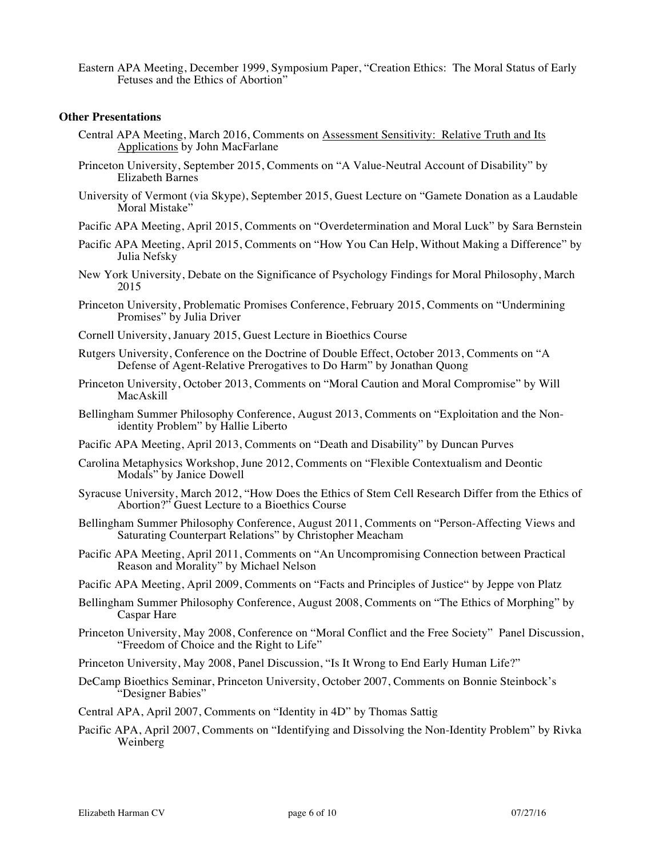Eastern APA Meeting, December 1999, Symposium Paper, "Creation Ethics: The Moral Status of Early Fetuses and the Ethics of Abortion"

#### **Other Presentations**

- Central APA Meeting, March 2016, Comments on Assessment Sensitivity: Relative Truth and Its Applications by John MacFarlane
- Princeton University, September 2015, Comments on "A Value-Neutral Account of Disability" by Elizabeth Barnes
- University of Vermont (via Skype), September 2015, Guest Lecture on "Gamete Donation as a Laudable Moral Mistake"
- Pacific APA Meeting, April 2015, Comments on "Overdetermination and Moral Luck" by Sara Bernstein
- Pacific APA Meeting, April 2015, Comments on "How You Can Help, Without Making a Difference" by Julia Nefsky
- New York University, Debate on the Significance of Psychology Findings for Moral Philosophy, March 2015
- Princeton University, Problematic Promises Conference, February 2015, Comments on "Undermining Promises" by Julia Driver
- Cornell University, January 2015, Guest Lecture in Bioethics Course
- Rutgers University, Conference on the Doctrine of Double Effect, October 2013, Comments on "A Defense of Agent-Relative Prerogatives to Do Harm" by Jonathan Quong
- Princeton University, October 2013, Comments on "Moral Caution and Moral Compromise" by Will MacAskill
- Bellingham Summer Philosophy Conference, August 2013, Comments on "Exploitation and the Nonidentity Problem" by Hallie Liberto
- Pacific APA Meeting, April 2013, Comments on "Death and Disability" by Duncan Purves
- Carolina Metaphysics Workshop, June 2012, Comments on "Flexible Contextualism and Deontic Modals" by Janice Dowell
- Syracuse University, March 2012, "How Does the Ethics of Stem Cell Research Differ from the Ethics of Abortion?" Guest Lecture to a Bioethics Course
- Bellingham Summer Philosophy Conference, August 2011, Comments on "Person-Affecting Views and Saturating Counterpart Relations" by Christopher Meacham
- Pacific APA Meeting, April 2011, Comments on "An Uncompromising Connection between Practical Reason and Morality" by Michael Nelson
- Pacific APA Meeting, April 2009, Comments on "Facts and Principles of Justice" by Jeppe von Platz
- Bellingham Summer Philosophy Conference, August 2008, Comments on "The Ethics of Morphing" by Caspar Hare
- Princeton University, May 2008, Conference on "Moral Conflict and the Free Society" Panel Discussion, "Freedom of Choice and the Right to Life"
- Princeton University, May 2008, Panel Discussion, "Is It Wrong to End Early Human Life?"
- DeCamp Bioethics Seminar, Princeton University, October 2007, Comments on Bonnie Steinbock's "Designer Babies"
- Central APA, April 2007, Comments on "Identity in 4D" by Thomas Sattig
- Pacific APA, April 2007, Comments on "Identifying and Dissolving the Non-Identity Problem" by Rivka Weinberg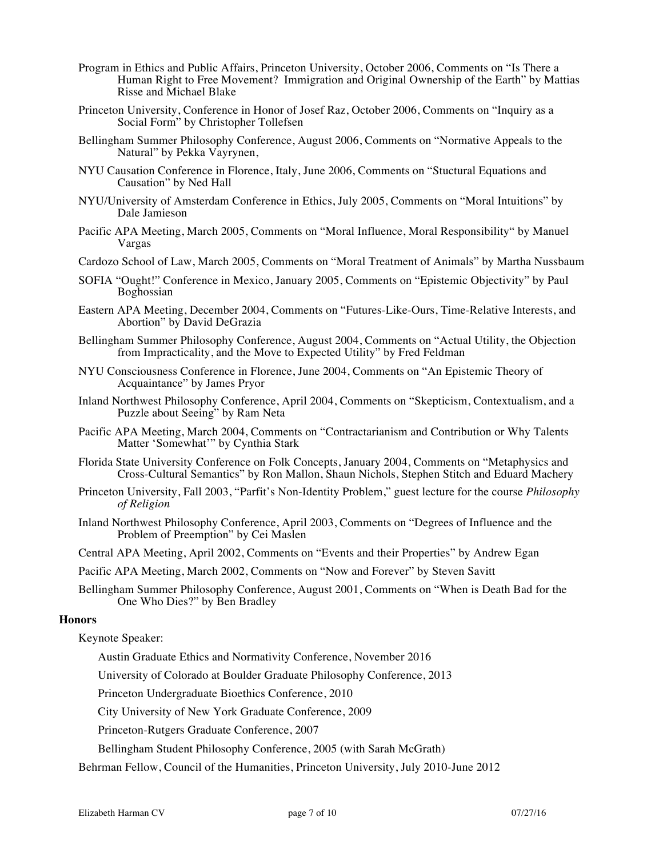- Program in Ethics and Public Affairs, Princeton University, October 2006, Comments on "Is There a Human Right to Free Movement? Immigration and Original Ownership of the Earth" by Mattias Risse and Michael Blake
- Princeton University, Conference in Honor of Josef Raz, October 2006, Comments on "Inquiry as a Social Form" by Christopher Tollefsen
- Bellingham Summer Philosophy Conference, August 2006, Comments on "Normative Appeals to the Natural" by Pekka Vayrynen,
- NYU Causation Conference in Florence, Italy, June 2006, Comments on "Stuctural Equations and Causation" by Ned Hall
- NYU/University of Amsterdam Conference in Ethics, July 2005, Comments on "Moral Intuitions" by Dale Jamieson
- Pacific APA Meeting, March 2005, Comments on "Moral Influence, Moral Responsibility" by Manuel Vargas
- Cardozo School of Law, March 2005, Comments on "Moral Treatment of Animals" by Martha Nussbaum
- SOFIA "Ought!" Conference in Mexico, January 2005, Comments on "Epistemic Objectivity" by Paul Boghossian
- Eastern APA Meeting, December 2004, Comments on "Futures-Like-Ours, Time-Relative Interests, and Abortion" by David DeGrazia
- Bellingham Summer Philosophy Conference, August 2004, Comments on "Actual Utility, the Objection from Impracticality, and the Move to Expected Utility" by Fred Feldman
- NYU Consciousness Conference in Florence, June 2004, Comments on "An Epistemic Theory of Acquaintance" by James Pryor
- Inland Northwest Philosophy Conference, April 2004, Comments on "Skepticism, Contextualism, and a Puzzle about Seeing" by Ram Neta
- Pacific APA Meeting, March 2004, Comments on "Contractarianism and Contribution or Why Talents Matter 'Somewhat'" by Cynthia Stark
- Florida State University Conference on Folk Concepts, January 2004, Comments on "Metaphysics and Cross-Cultural Semantics" by Ron Mallon, Shaun Nichols, Stephen Stitch and Eduard Machery
- Princeton University, Fall 2003, "Parfit's Non-Identity Problem," guest lecture for the course *Philosophy of Religion*
- Inland Northwest Philosophy Conference, April 2003, Comments on "Degrees of Influence and the Problem of Preemption" by Cei Maslen
- Central APA Meeting, April 2002, Comments on "Events and their Properties" by Andrew Egan

Pacific APA Meeting, March 2002, Comments on "Now and Forever" by Steven Savitt

Bellingham Summer Philosophy Conference, August 2001, Comments on "When is Death Bad for the One Who Dies?" by Ben Bradley

#### **Honors**

Keynote Speaker:

Austin Graduate Ethics and Normativity Conference, November 2016

University of Colorado at Boulder Graduate Philosophy Conference, 2013

Princeton Undergraduate Bioethics Conference, 2010

City University of New York Graduate Conference, 2009

Princeton-Rutgers Graduate Conference, 2007

Bellingham Student Philosophy Conference, 2005 (with Sarah McGrath)

Behrman Fellow, Council of the Humanities, Princeton University, July 2010-June 2012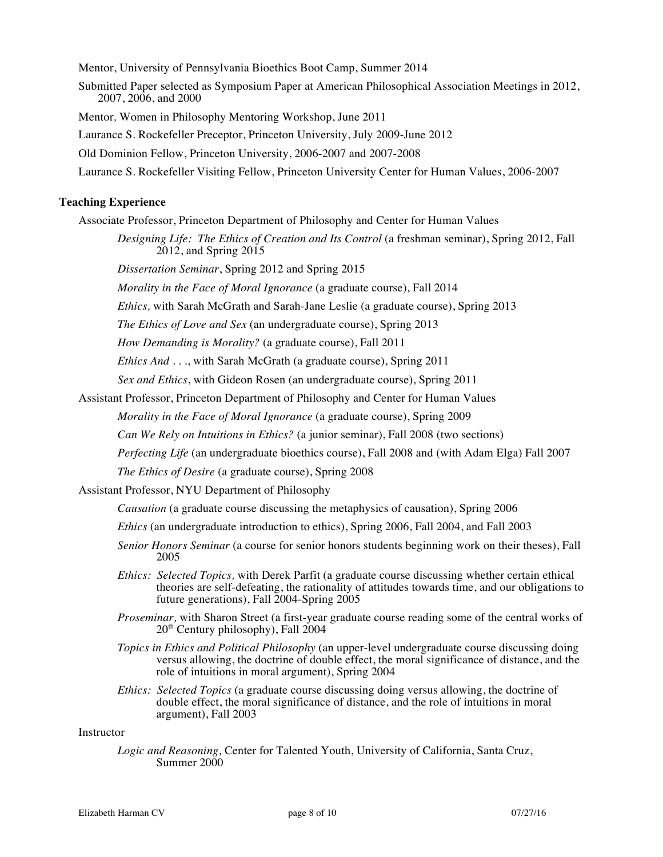Mentor, University of Pennsylvania Bioethics Boot Camp, Summer 2014 Submitted Paper selected as Symposium Paper at American Philosophical Association Meetings in 2012, 2007, 2006, and 2000 Mentor*,* Women in Philosophy Mentoring Workshop, June 2011 Laurance S. Rockefeller Preceptor, Princeton University, July 2009-June 2012 Old Dominion Fellow, Princeton University, 2006-2007 and 2007-2008 Laurance S. Rockefeller Visiting Fellow, Princeton University Center for Human Values, 2006-2007

# **Teaching Experience**

Associate Professor, Princeton Department of Philosophy and Center for Human Values

*Designing Life: The Ethics of Creation and Its Control* (a freshman seminar), Spring 2012, Fall 2012, and Spring 2015

*Dissertation Seminar*, Spring 2012 and Spring 2015

*Morality in the Face of Moral Ignorance* (a graduate course), Fall 2014

*Ethics,* with Sarah McGrath and Sarah-Jane Leslie (a graduate course), Spring 2013

*The Ethics of Love and Sex* (an undergraduate course), Spring 2013

*How Demanding is Morality?* (a graduate course), Fall 2011

*Ethics And . . .*, with Sarah McGrath (a graduate course), Spring 2011

*Sex and Ethics*, with Gideon Rosen (an undergraduate course), Spring 2011

Assistant Professor, Princeton Department of Philosophy and Center for Human Values

*Morality in the Face of Moral Ignorance* (a graduate course), Spring 2009

*Can We Rely on Intuitions in Ethics?* (a junior seminar), Fall 2008 (two sections)

*Perfecting Life* (an undergraduate bioethics course), Fall 2008 and (with Adam Elga) Fall 2007

*The Ethics of Desire* (a graduate course), Spring 2008

### Assistant Professor, NYU Department of Philosophy

*Causation* (a graduate course discussing the metaphysics of causation), Spring 2006

- *Ethics* (an undergraduate introduction to ethics), Spring 2006, Fall 2004, and Fall 2003
- *Senior Honors Seminar* (a course for senior honors students beginning work on their theses), Fall 2005
- *Ethics: Selected Topics,* with Derek Parfit (a graduate course discussing whether certain ethical theories are self-defeating, the rationality of attitudes towards time, and our obligations to future generations), Fall 2004-Spring 2005
- *Proseminar,* with Sharon Street (a first-year graduate course reading some of the central works of  $20<sup>th</sup>$  Century philosophy), Fall  $2004$
- *Topics in Ethics and Political Philosophy* (an upper-level undergraduate course discussing doing versus allowing, the doctrine of double effect, the moral significance of distance, and the role of intuitions in moral argument), Spring 2004
- *Ethics: Selected Topics* (a graduate course discussing doing versus allowing, the doctrine of double effect, the moral significance of distance, and the role of intuitions in moral argument), Fall 2003

Instructor

*Logic and Reasoning,* Center for Talented Youth, University of California, Santa Cruz, Summer 2000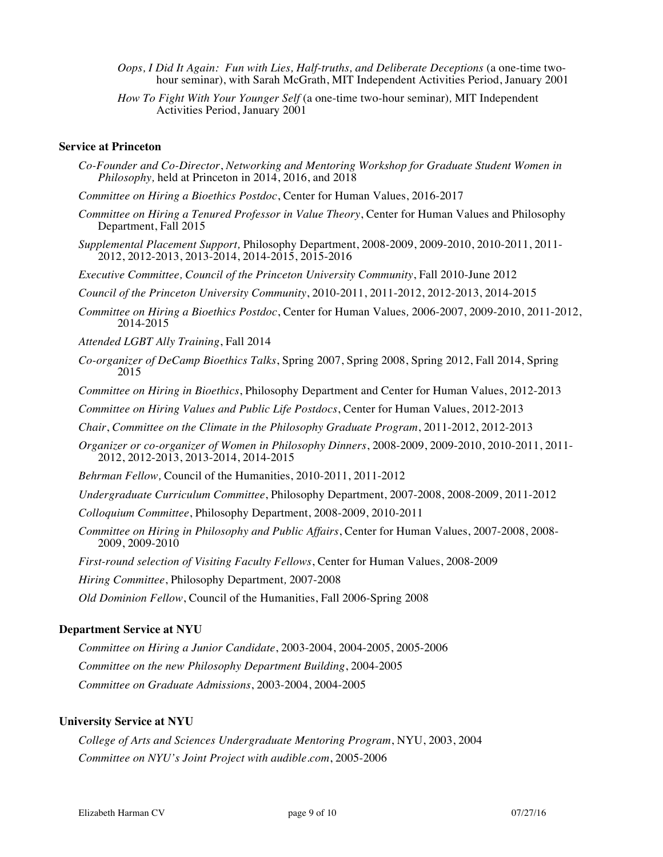- *Oops, I Did It Again: Fun with Lies, Half-truths, and Deliberate Deceptions* (a one-time twohour seminar), with Sarah McGrath, MIT Independent Activities Period, January 2001
- *How To Fight With Your Younger Self* (a one-time two-hour seminar)*,* MIT Independent Activities Period, January 2001

#### **Service at Princeton**

- *Co-Founder and Co-Director*, *Networking and Mentoring Workshop for Graduate Student Women in Philosophy,* held at Princeton in 2014, 2016, and 2018
- *Committee on Hiring a Bioethics Postdoc*, Center for Human Values, 2016-2017
- *Committee on Hiring a Tenured Professor in Value Theory*, Center for Human Values and Philosophy Department, Fall 2015
- *Supplemental Placement Support,* Philosophy Department, 2008-2009, 2009-2010, 2010-2011, 2011- 2012, 2012-2013, 2013-2014, 2014-2015, 2015-2016

*Executive Committee, Council of the Princeton University Community*, Fall 2010-June 2012

*Council of the Princeton University Community*, 2010-2011, 2011-2012, 2012-2013, 2014-2015

- *Committee on Hiring a Bioethics Postdoc*, Center for Human Values*,* 2006-2007, 2009-2010, 2011-2012, 2014-2015
- *Attended LGBT Ally Training*, Fall 2014
- *Co-organizer of DeCamp Bioethics Talks*, Spring 2007, Spring 2008, Spring 2012, Fall 2014, Spring 2015

*Committee on Hiring in Bioethics*, Philosophy Department and Center for Human Values, 2012-2013

*Committee on Hiring Values and Public Life Postdocs*, Center for Human Values, 2012-2013

*Chair*, *Committee on the Climate in the Philosophy Graduate Program*, 2011-2012, 2012-2013

*Organizer or co-organizer of Women in Philosophy Dinners*, 2008-2009, 2009-2010, 2010-2011, 2011- 2012, 2012-2013, 2013-2014, 2014-2015

*Behrman Fellow,* Council of the Humanities, 2010-2011, 2011-2012

*Undergraduate Curriculum Committee*, Philosophy Department, 2007-2008, 2008-2009, 2011-2012

*Colloquium Committee*, Philosophy Department, 2008-2009, 2010-2011

*Committee on Hiring in Philosophy and Public Affairs*, Center for Human Values, 2007-2008, 2008- 2009, 2009-2010

*First-round selection of Visiting Faculty Fellows*, Center for Human Values, 2008-2009

*Hiring Committee*, Philosophy Department*,* 2007-2008

*Old Dominion Fellow*, Council of the Humanities, Fall 2006-Spring 2008

# **Department Service at NYU**

*Committee on Hiring a Junior Candidate*, 2003-2004, 2004-2005, 2005-2006 *Committee on the new Philosophy Department Building*, 2004-2005 *Committee on Graduate Admissions*, 2003-2004, 2004-2005

#### **University Service at NYU**

*College of Arts and Sciences Undergraduate Mentoring Program*, NYU, 2003, 2004 *Committee on NYU's Joint Project with audible.com*, 2005-2006